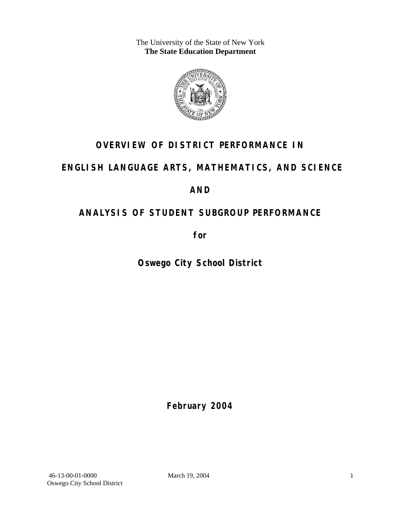The University of the State of New York **The State Education Department** 



# **OVERVIEW OF DISTRICT PERFORMANCE IN**

# **ENGLISH LANGUAGE ARTS, MATHEMATICS, AND SCIENCE**

# **AND**

# **ANALYSIS OF STUDENT SUBGROUP PERFORMANCE**

**for** 

**Oswego City School District**

**February 2004**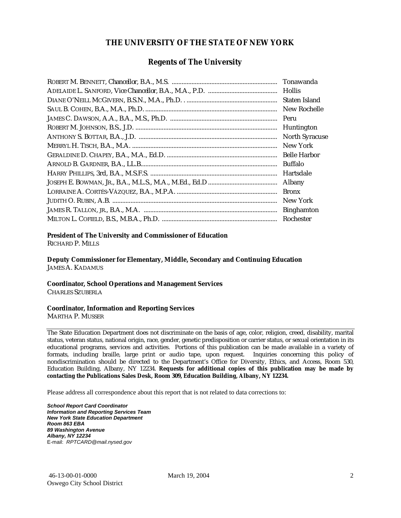#### **THE UNIVERSITY OF THE STATE OF NEW YORK**

#### **Regents of The University**

| Tonawanda             |
|-----------------------|
| <b>Hollis</b>         |
| Staten Island         |
| New Rochelle          |
| Peru                  |
| Huntington            |
| <b>North Syracuse</b> |
| New York              |
| <b>Belle Harbor</b>   |
| Buffalo               |
| Hartsdale             |
| Albany                |
| <b>Bronx</b>          |
| New York              |
| <b>Binghamton</b>     |
| Rochester             |

#### **President of The University and Commissioner of Education**

RICHARD P. MILLS

**Deputy Commissioner for Elementary, Middle, Secondary and Continuing Education**  JAMES A. KADAMUS

#### **Coordinator, School Operations and Management Services**

CHARLES SZUBERLA

#### **Coordinator, Information and Reporting Services**

MARTHA P. MUSSER

The State Education Department does not discriminate on the basis of age, color, religion, creed, disability, marital status, veteran status, national origin, race, gender, genetic predisposition or carrier status, or sexual orientation in its educational programs, services and activities. Portions of this publication can be made available in a variety of formats, including braille, large print or audio tape, upon request. Inquiries concerning this policy of nondiscrimination should be directed to the Department's Office for Diversity, Ethics, and Access, Room 530, Education Building, Albany, NY 12234. **Requests for additional copies of this publication may be made by contacting the Publications Sales Desk, Room 309, Education Building, Albany, NY 12234.** 

Please address all correspondence about this report that is not related to data corrections to:

*School Report Card Coordinator Information and Reporting Services Team New York State Education Department Room 863 EBA 89 Washington Avenue Albany, NY 12234*  E-mail: *RPTCARD@mail.nysed.gov*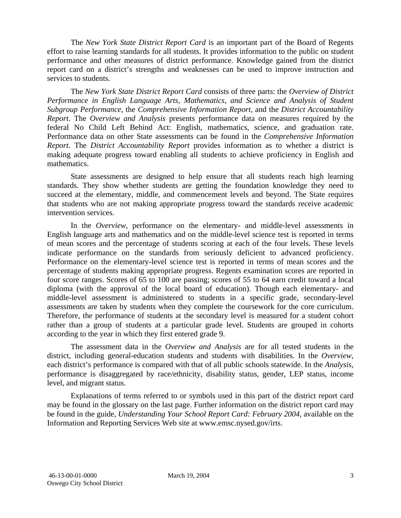The *New York State District Report Card* is an important part of the Board of Regents effort to raise learning standards for all students. It provides information to the public on student performance and other measures of district performance. Knowledge gained from the district report card on a district's strengths and weaknesses can be used to improve instruction and services to students.

The *New York State District Report Card* consists of three parts: the *Overview of District Performance in English Language Arts, Mathematics, and Science and Analysis of Student Subgroup Performance,* the *Comprehensive Information Report,* and the *District Accountability Report*. The *Overview and Analysis* presents performance data on measures required by the federal No Child Left Behind Act: English, mathematics, science, and graduation rate. Performance data on other State assessments can be found in the *Comprehensive Information Report*. The *District Accountability Report* provides information as to whether a district is making adequate progress toward enabling all students to achieve proficiency in English and mathematics.

State assessments are designed to help ensure that all students reach high learning standards. They show whether students are getting the foundation knowledge they need to succeed at the elementary, middle, and commencement levels and beyond. The State requires that students who are not making appropriate progress toward the standards receive academic intervention services.

In the *Overview*, performance on the elementary- and middle-level assessments in English language arts and mathematics and on the middle-level science test is reported in terms of mean scores and the percentage of students scoring at each of the four levels. These levels indicate performance on the standards from seriously deficient to advanced proficiency. Performance on the elementary-level science test is reported in terms of mean scores and the percentage of students making appropriate progress. Regents examination scores are reported in four score ranges. Scores of 65 to 100 are passing; scores of 55 to 64 earn credit toward a local diploma (with the approval of the local board of education). Though each elementary- and middle-level assessment is administered to students in a specific grade, secondary-level assessments are taken by students when they complete the coursework for the core curriculum. Therefore, the performance of students at the secondary level is measured for a student cohort rather than a group of students at a particular grade level. Students are grouped in cohorts according to the year in which they first entered grade 9.

The assessment data in the *Overview and Analysis* are for all tested students in the district, including general-education students and students with disabilities. In the *Overview*, each district's performance is compared with that of all public schools statewide. In the *Analysis*, performance is disaggregated by race/ethnicity, disability status, gender, LEP status, income level, and migrant status.

Explanations of terms referred to or symbols used in this part of the district report card may be found in the glossary on the last page. Further information on the district report card may be found in the guide, *Understanding Your School Report Card: February 2004*, available on the Information and Reporting Services Web site at www.emsc.nysed.gov/irts.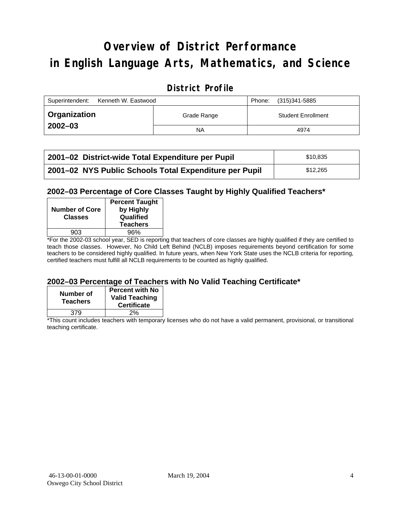# **Overview of District Performance in English Language Arts, Mathematics, and Science**

## **District Profile**

| Kenneth W. Eastwood<br>Superintendent: |             | Phone: | (315)341-5885             |
|----------------------------------------|-------------|--------|---------------------------|
| ∣ Organization                         | Grade Range |        | <b>Student Enrollment</b> |
| $2002 - 03$                            | <b>NA</b>   |        | 4974                      |

| 2001-02 District-wide Total Expenditure per Pupil      | \$10.835 |
|--------------------------------------------------------|----------|
| 2001-02 NYS Public Schools Total Expenditure per Pupil | \$12.265 |

### **2002–03 Percentage of Core Classes Taught by Highly Qualified Teachers\***

| <b>Number of Core</b><br><b>Classes</b> | <b>Percent Taught</b><br>by Highly<br>Qualified<br><b>Teachers</b> |
|-----------------------------------------|--------------------------------------------------------------------|
| 903                                     | 96%                                                                |
| . .<br>$\overline{\phantom{a}}$         |                                                                    |

\*For the 2002-03 school year, SED is reporting that teachers of core classes are highly qualified if they are certified to teach those classes. However, No Child Left Behind (NCLB) imposes requirements beyond certification for some teachers to be considered highly qualified. In future years, when New York State uses the NCLB criteria for reporting, certified teachers must fulfill all NCLB requirements to be counted as highly qualified.

#### **2002–03 Percentage of Teachers with No Valid Teaching Certificate\***

| Number of<br><b>Teachers</b> | <b>Percent with No</b><br><b>Valid Teaching</b><br><b>Certificate</b> |
|------------------------------|-----------------------------------------------------------------------|
| 379                          | 2%                                                                    |

\*This count includes teachers with temporary licenses who do not have a valid permanent, provisional, or transitional teaching certificate.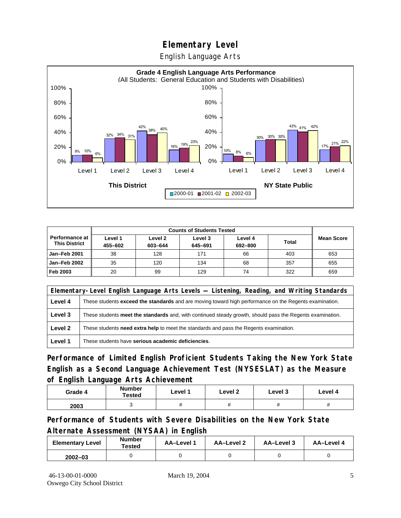English Language Arts



| <b>Counts of Students Tested</b>       |                    |                    |                    |                    |              |                   |
|----------------------------------------|--------------------|--------------------|--------------------|--------------------|--------------|-------------------|
| Performance at<br><b>This District</b> | Level 1<br>455-602 | Level 2<br>603-644 | Level 3<br>645-691 | Level 4<br>692-800 | <b>Total</b> | <b>Mean Score</b> |
| Jan-Feb 2001                           | 38                 | 128                | 171                | 66                 | 403          | 653               |
| Jan-Feb 2002                           | 35                 | 120                | 134                | 68                 | 357          | 655               |
| Feb 2003                               | 20                 | 99                 | 129                | 74                 | 322          | 659               |

|         | Elementary-Level English Language Arts Levels — Listening, Reading, and Writing Standards                 |  |  |  |  |  |
|---------|-----------------------------------------------------------------------------------------------------------|--|--|--|--|--|
| Level 4 | These students exceed the standards and are moving toward high performance on the Regents examination.    |  |  |  |  |  |
| Level 3 | These students meet the standards and, with continued steady growth, should pass the Regents examination. |  |  |  |  |  |
| Level 2 | These students <b>need extra help</b> to meet the standards and pass the Regents examination.             |  |  |  |  |  |
| Level 1 | These students have serious academic deficiencies.                                                        |  |  |  |  |  |

**Performance of Limited English Proficient Students Taking the New York State English as a Second Language Achievement Test (NYSESLAT) as the Measure of English Language Arts Achievement**

| Grade 4 | <b>Number</b><br>Tested | Level 1           | Level 2 | Level 3  | Level 4  |
|---------|-------------------------|-------------------|---------|----------|----------|
| 2003    |                         | $^{\prime\prime}$ | π       | $^{\pi}$ | $^{\pi}$ |

**Performance of Students with Severe Disabilities on the New York State Alternate Assessment (NYSAA) in English** 

| <b>Elementary Level</b> | <b>Number</b><br>Tested | AA-Level 1 | AA-Level 2 | AA-Level 3 | AA-Level 4 |
|-------------------------|-------------------------|------------|------------|------------|------------|
| $2002 - 03$             |                         |            |            |            |            |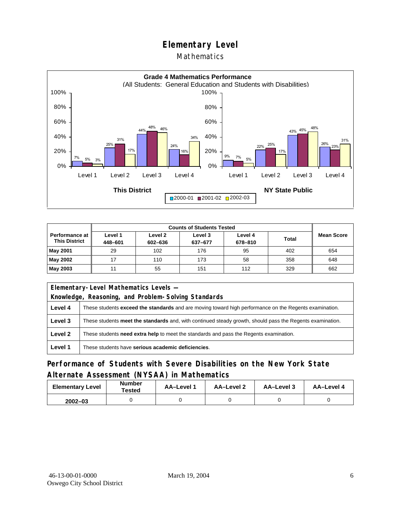### **Mathematics**



|                                        | <b>Counts of Students Tested</b> |                    |                    |                    |       |            |  |
|----------------------------------------|----------------------------------|--------------------|--------------------|--------------------|-------|------------|--|
| Performance at<br><b>This District</b> | Level 1<br>448-601               | Level 2<br>602-636 | Level 3<br>637-677 | Level 4<br>678-810 | Total | Mean Score |  |
| May 2001                               | 29                               | 102                | 176                | 95                 | 402   | 654        |  |
| May 2002                               | 17                               | 110                | 173                | 58                 | 358   | 648        |  |
| May 2003                               | 11                               | 55                 | 151                | 112                | 329   | 662        |  |

| Elementary-Level Mathematics Levels - |                                                                                                               |  |  |  |
|---------------------------------------|---------------------------------------------------------------------------------------------------------------|--|--|--|
|                                       | Knowledge, Reasoning, and Problem-Solving Standards                                                           |  |  |  |
| Level 4                               | These students <b>exceed the standards</b> and are moving toward high performance on the Regents examination. |  |  |  |
| Level 3                               | These students meet the standards and, with continued steady growth, should pass the Regents examination.     |  |  |  |
| Level 2                               | These students need extra help to meet the standards and pass the Regents examination.                        |  |  |  |
| Level 1                               | These students have serious academic deficiencies.                                                            |  |  |  |

## **Performance of Students with Severe Disabilities on the New York State Alternate Assessment (NYSAA) in Mathematics**

| <b>Elementary Level</b> | <b>Number</b><br>Tested | <b>AA-Level 1</b> | AA-Level 2 | AA-Level 3 | AA-Level 4 |
|-------------------------|-------------------------|-------------------|------------|------------|------------|
| $2002 - 03$             |                         |                   |            |            |            |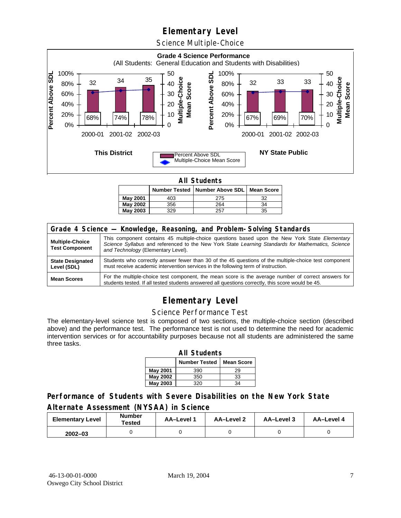Science Multiple-Choice



**All Students** 

|          |     | Number Tested   Number Above SDL   Mean Score |    |
|----------|-----|-----------------------------------------------|----|
| May 2001 | 403 | 275                                           | 27 |
| May 2002 | 356 | 264                                           | 34 |
| May 2003 | 329 | 257                                           | 35 |

| Grade 4 Science - Knowledge, Reasoning, and Problem-Solving Standards |                                                                                                                                                                                                                                          |  |  |  |  |
|-----------------------------------------------------------------------|------------------------------------------------------------------------------------------------------------------------------------------------------------------------------------------------------------------------------------------|--|--|--|--|
| <b>Multiple-Choice</b><br><b>Test Component</b>                       | This component contains 45 multiple-choice questions based upon the New York State Elementary<br>Science Syllabus and referenced to the New York State Learning Standards for Mathematics, Science<br>and Technology (Elementary Level). |  |  |  |  |
| <b>State Designated</b><br>Level (SDL)                                | Students who correctly answer fewer than 30 of the 45 questions of the multiple-choice test component<br>must receive academic intervention services in the following term of instruction.                                               |  |  |  |  |
| <b>Mean Scores</b>                                                    | For the multiple-choice test component, the mean score is the average number of correct answers for<br>students tested. If all tested students answered all questions correctly, this score would be 45.                                 |  |  |  |  |

## **Elementary Level**

#### Science Performance Test

The elementary-level science test is composed of two sections, the multiple-choice section (described above) and the performance test. The performance test is not used to determine the need for academic intervention services or for accountability purposes because not all students are administered the same three tasks.

| <b>All Students</b>                       |     |    |  |  |  |  |  |
|-------------------------------------------|-----|----|--|--|--|--|--|
| <b>Number Tested</b><br><b>Mean Score</b> |     |    |  |  |  |  |  |
| <b>May 2001</b>                           | 390 | 29 |  |  |  |  |  |
| May 2002                                  | 350 | 33 |  |  |  |  |  |
| <b>May 2003</b>                           | 320 | 34 |  |  |  |  |  |

### **Performance of Students with Severe Disabilities on the New York State Alternate Assessment (NYSAA) in Science**

| <b>Elementary Level</b> | <b>Number</b><br>Tested | AA-Level | <b>AA-Level 2</b> | AA-Level 3 | AA-Level 4 |
|-------------------------|-------------------------|----------|-------------------|------------|------------|
| $2002 - 03$             |                         |          |                   |            |            |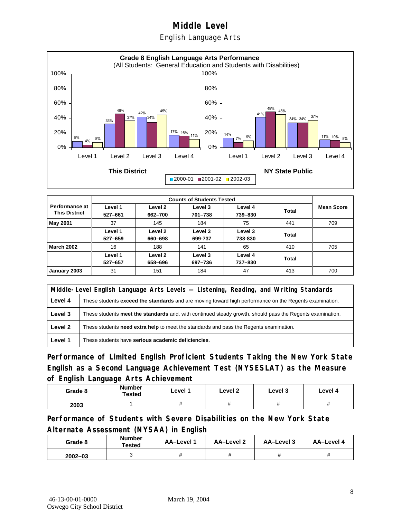English Language Arts



|                                        |                    | <b>Counts of Students Tested</b> |                    |                    |       |                   |  |  |
|----------------------------------------|--------------------|----------------------------------|--------------------|--------------------|-------|-------------------|--|--|
| Performance at<br><b>This District</b> | Level 1<br>527-661 | Level 2<br>662-700               | Level 3<br>701-738 | Level 4<br>739-830 | Total | <b>Mean Score</b> |  |  |
| May 2001                               | 37                 | 145                              | 184                | 75                 | 441   | 709               |  |  |
|                                        | Level 1<br>527-659 | Level 2<br>660-698               | Level 3<br>699-737 | Level 3<br>738-830 | Total |                   |  |  |
| <b>March 2002</b>                      | 16                 | 188                              | 141                | 65                 | 410   | 705               |  |  |
|                                        | Level 1<br>527-657 | Level 2<br>658-696               | Level 3<br>697-736 | Level 4<br>737-830 | Total |                   |  |  |
| January 2003                           | 31                 | 151                              | 184                | 47                 | 413   | 700               |  |  |

|         | Middle-Level English Language Arts Levels — Listening, Reading, and Writing Standards                         |  |  |  |  |
|---------|---------------------------------------------------------------------------------------------------------------|--|--|--|--|
| Level 4 | These students <b>exceed the standards</b> and are moving toward high performance on the Regents examination. |  |  |  |  |
| Level 3 | These students meet the standards and, with continued steady growth, should pass the Regents examination.     |  |  |  |  |
| Level 2 | These students <b>need extra help</b> to meet the standards and pass the Regents examination.                 |  |  |  |  |
| Level 1 | These students have serious academic deficiencies.                                                            |  |  |  |  |

**Performance of Limited English Proficient Students Taking the New York State English as a Second Language Achievement Test (NYSESLAT) as the Measure of English Language Arts Achievement**

| Grade 8 | <b>Number</b><br>Tested | Level 1     | Level 2  | Level 3  | Level 4  |
|---------|-------------------------|-------------|----------|----------|----------|
| 2003    |                         | $^{\prime}$ | $^{\pi}$ | $^{\pi}$ | $^{\pi}$ |

**Performance of Students with Severe Disabilities on the New York State Alternate Assessment (NYSAA) in English** 

| Grade 8     | <b>Number</b><br>Tested | <b>AA-Level 1</b> | AA-Level 2 | AA–Level 3 | AA-Level 4 |
|-------------|-------------------------|-------------------|------------|------------|------------|
| $2002 - 03$ |                         |                   |            |            |            |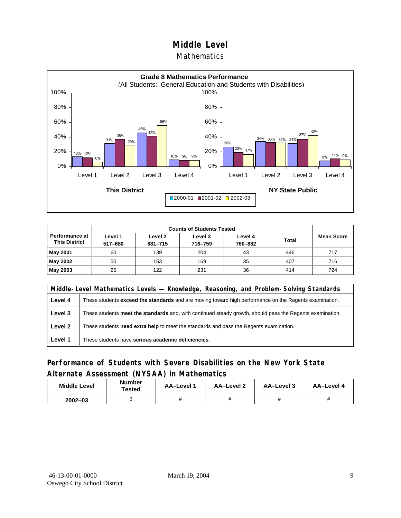#### Mathematics



| Performance at<br><b>This District</b> | Level 1<br>517-680 | Level 2<br>681-715 | Level 3<br>716-759 | Level 4<br>760-882 | <b>Total</b> | <b>Mean Score</b> |
|----------------------------------------|--------------------|--------------------|--------------------|--------------------|--------------|-------------------|
| <b>May 2001</b>                        | 60                 | 139                | 204                | 43                 | 446          | 717               |
| May 2002                               | 50                 | 153                | 169                | 35                 | 407          | 716               |
| May 2003                               | 25                 | 122                | 231                | 36                 | 414          | 724               |

|         | Middle-Level Mathematics Levels — Knowledge, Reasoning, and Problem-Solving Standards                         |  |  |  |  |
|---------|---------------------------------------------------------------------------------------------------------------|--|--|--|--|
| Level 4 | These students <b>exceed the standards</b> and are moving toward high performance on the Regents examination. |  |  |  |  |
| Level 3 | These students meet the standards and, with continued steady growth, should pass the Regents examination.     |  |  |  |  |
| Level 2 | These students <b>need extra help</b> to meet the standards and pass the Regents examination.                 |  |  |  |  |
| Level 1 | These students have serious academic deficiencies.                                                            |  |  |  |  |

### **Performance of Students with Severe Disabilities on the New York State Alternate Assessment (NYSAA) in Mathematics**

| <b>Middle Level</b> | <b>Number</b><br>Tested | AA-Level | AA-Level 2 | AA-Level 3 | AA-Level 4 |
|---------------------|-------------------------|----------|------------|------------|------------|
| $2002 - 03$         |                         |          |            |            |            |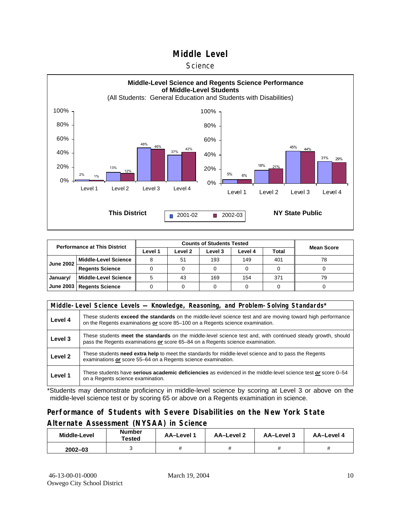#### **Science**



| <b>Performance at This District</b> |                             |         | <b>Mean Score</b> |         |         |              |    |
|-------------------------------------|-----------------------------|---------|-------------------|---------|---------|--------------|----|
|                                     |                             | Level 1 | Level 2           | Level 3 | Level 4 | <b>Total</b> |    |
| <b>June 2002</b>                    | <b>Middle-Level Science</b> |         | 51                | 193     | 149     | 401          | 78 |
|                                     | <b>Regents Science</b>      |         |                   |         |         |              |    |
| January/                            | <b>Middle-Level Science</b> |         | 43                | 169     | 154     | 371          | 79 |
|                                     | June 2003   Regents Science |         |                   |         |         |              |    |

|         | Middle-Level Science Levels - Knowledge, Reasoning, and Problem-Solving Standards*                                                                                                             |  |  |  |  |  |  |  |  |
|---------|------------------------------------------------------------------------------------------------------------------------------------------------------------------------------------------------|--|--|--|--|--|--|--|--|
| Level 4 | These students exceed the standards on the middle-level science test and are moving toward high performance<br>on the Regents examinations or score 85-100 on a Regents science examination.   |  |  |  |  |  |  |  |  |
| Level 3 | These students meet the standards on the middle-level science test and, with continued steady growth, should<br>pass the Regents examinations or score 65-84 on a Regents science examination. |  |  |  |  |  |  |  |  |
| Level 2 | These students need extra help to meet the standards for middle-level science and to pass the Regents<br>examinations or score 55–64 on a Regents science examination.                         |  |  |  |  |  |  |  |  |
| Level 1 | These students have serious academic deficiencies as evidenced in the middle-level science test or score 0–54<br>on a Regents science examination.                                             |  |  |  |  |  |  |  |  |

\*Students may demonstrate proficiency in middle-level science by scoring at Level 3 or above on the middle-level science test or by scoring 65 or above on a Regents examination in science.

## **Performance of Students with Severe Disabilities on the New York State Alternate Assessment (NYSAA) in Science**

| Middle-Level | Number<br>Tested | AA-Level 1 | AA-Level 2 | AA-Level 3 | AA-Level 4 |  |
|--------------|------------------|------------|------------|------------|------------|--|
| $2002 - 03$  |                  |            |            |            |            |  |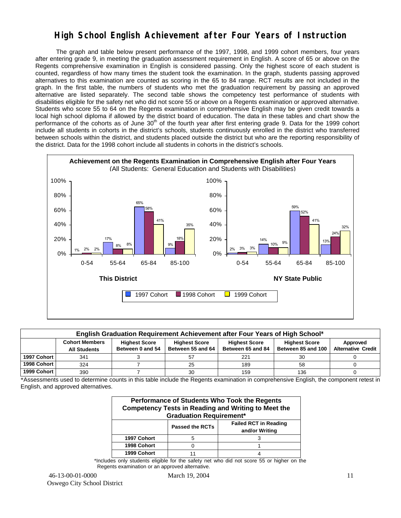## **High School English Achievement after Four Years of Instruction**

 The graph and table below present performance of the 1997, 1998, and 1999 cohort members, four years after entering grade 9, in meeting the graduation assessment requirement in English. A score of 65 or above on the Regents comprehensive examination in English is considered passing. Only the highest score of each student is counted, regardless of how many times the student took the examination. In the graph, students passing approved alternatives to this examination are counted as scoring in the 65 to 84 range. RCT results are not included in the graph. In the first table, the numbers of students who met the graduation requirement by passing an approved alternative are listed separately. The second table shows the competency test performance of students with disabilities eligible for the safety net who did not score 55 or above on a Regents examination or approved alternative. Students who score 55 to 64 on the Regents examination in comprehensive English may be given credit towards a local high school diploma if allowed by the district board of education. The data in these tables and chart show the performance of the cohorts as of June  $30<sup>th</sup>$  of the fourth year after first entering grade 9. Data for the 1999 cohort include all students in cohorts in the district's schools, students continuously enrolled in the district who transferred between schools within the district, and students placed outside the district but who are the reporting responsibility of the district. Data for the 1998 cohort include all students in cohorts in the district's schools.



| English Graduation Requirement Achievement after Four Years of High School* |                                                                                                                                                                                                                                                               |  |    |     |     |  |  |  |  |  |  |
|-----------------------------------------------------------------------------|---------------------------------------------------------------------------------------------------------------------------------------------------------------------------------------------------------------------------------------------------------------|--|----|-----|-----|--|--|--|--|--|--|
|                                                                             | <b>Cohort Members</b><br><b>Highest Score</b><br><b>Highest Score</b><br><b>Highest Score</b><br><b>Highest Score</b><br>Between 55 and 64<br><b>Alternative Credit</b><br>Between 85 and 100<br>Between 65 and 84<br>Between 0 and 54<br><b>All Students</b> |  |    |     |     |  |  |  |  |  |  |
| 1997 Cohort                                                                 | 341                                                                                                                                                                                                                                                           |  | 57 | 221 | 30  |  |  |  |  |  |  |
| 1998 Cohort                                                                 | 324                                                                                                                                                                                                                                                           |  | 25 | 189 | 58  |  |  |  |  |  |  |
| 1999 Cohort                                                                 | 390                                                                                                                                                                                                                                                           |  | 30 | 159 | 136 |  |  |  |  |  |  |

\*Assessments used to determine counts in this table include the Regents examination in comprehensive English, the component retest in English, and approved alternatives.

| Performance of Students Who Took the Regents<br><b>Competency Tests in Reading and Writing to Meet the</b><br><b>Graduation Requirement*</b> |                                                                          |  |  |  |  |  |  |  |  |
|----------------------------------------------------------------------------------------------------------------------------------------------|--------------------------------------------------------------------------|--|--|--|--|--|--|--|--|
|                                                                                                                                              | <b>Failed RCT in Reading</b><br><b>Passed the RCTs</b><br>and/or Writing |  |  |  |  |  |  |  |  |
| 1997 Cohort                                                                                                                                  |                                                                          |  |  |  |  |  |  |  |  |
| 1998 Cohort                                                                                                                                  |                                                                          |  |  |  |  |  |  |  |  |
| 1999 Cohort                                                                                                                                  |                                                                          |  |  |  |  |  |  |  |  |

\*Includes only students eligible for the safety net who did not score 55 or higher on the Regents examination or an approved alternative.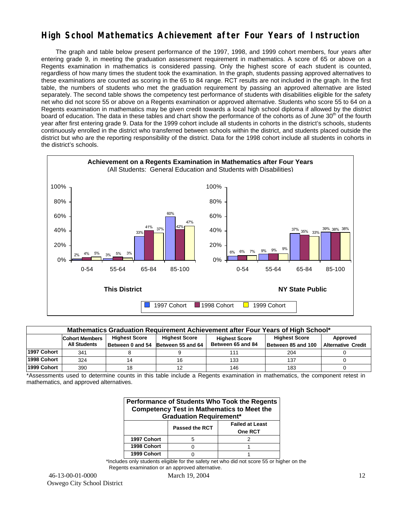## **High School Mathematics Achievement after Four Years of Instruction**

 The graph and table below present performance of the 1997, 1998, and 1999 cohort members, four years after entering grade 9, in meeting the graduation assessment requirement in mathematics. A score of 65 or above on a Regents examination in mathematics is considered passing. Only the highest score of each student is counted, regardless of how many times the student took the examination. In the graph, students passing approved alternatives to these examinations are counted as scoring in the 65 to 84 range. RCT results are not included in the graph. In the first table, the numbers of students who met the graduation requirement by passing an approved alternative are listed separately. The second table shows the competency test performance of students with disabilities eligible for the safety net who did not score 55 or above on a Regents examination or approved alternative. Students who score 55 to 64 on a Regents examination in mathematics may be given credit towards a local high school diploma if allowed by the district board of education. The data in these tables and chart show the performance of the cohorts as of June 30<sup>th</sup> of the fourth year after first entering grade 9. Data for the 1999 cohort include all students in cohorts in the district's schools, students continuously enrolled in the district who transferred between schools within the district, and students placed outside the district but who are the reporting responsibility of the district. Data for the 1998 cohort include all students in cohorts in the district's schools.



| Mathematics Graduation Requirement Achievement after Four Years of High School* |                                                                                                                       |    |                                    |                   |                    |                           |  |  |  |  |
|---------------------------------------------------------------------------------|-----------------------------------------------------------------------------------------------------------------------|----|------------------------------------|-------------------|--------------------|---------------------------|--|--|--|--|
|                                                                                 | <b>Highest Score</b><br><b>Highest Score</b><br><b>Highest Score</b><br><b>Cohort Members</b><br><b>Highest Score</b> |    |                                    |                   |                    |                           |  |  |  |  |
|                                                                                 | <b>All Students</b>                                                                                                   |    | Between 0 and 54 Between 55 and 64 | Between 65 and 84 | Between 85 and 100 | <b>Alternative Credit</b> |  |  |  |  |
| 1997 Cohort                                                                     | 341                                                                                                                   |    |                                    | 111               | 204                |                           |  |  |  |  |
| 1998 Cohort                                                                     | 324                                                                                                                   | 14 | 16                                 | 133               | 137                |                           |  |  |  |  |
| 1999 Cohort                                                                     | 390                                                                                                                   | 18 |                                    | 146               | 183                |                           |  |  |  |  |

\*Assessments used to determine counts in this table include a Regents examination in mathematics, the component retest in mathematics, and approved alternatives.

| Performance of Students Who Took the Regents<br><b>Competency Test in Mathematics to Meet the</b><br><b>Graduation Requirement*</b> |  |  |  |  |  |  |  |  |
|-------------------------------------------------------------------------------------------------------------------------------------|--|--|--|--|--|--|--|--|
| <b>Failed at Least</b><br><b>Passed the RCT</b><br>One RCT                                                                          |  |  |  |  |  |  |  |  |
| 1997 Cohort                                                                                                                         |  |  |  |  |  |  |  |  |
| 1998 Cohort                                                                                                                         |  |  |  |  |  |  |  |  |
| 1999 Cohort                                                                                                                         |  |  |  |  |  |  |  |  |

\*Includes only students eligible for the safety net who did not score 55 or higher on the Regents examination or an approved alternative.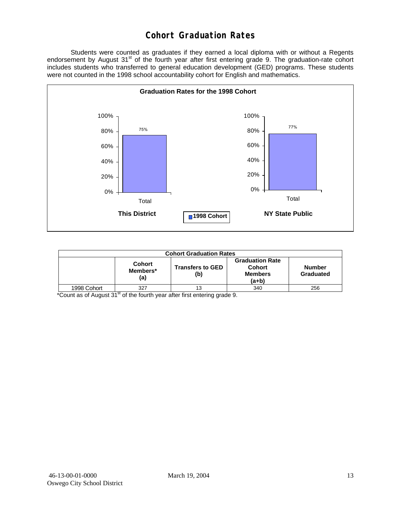## **Cohort Graduation Rates**

 Students were counted as graduates if they earned a local diploma with or without a Regents endorsement by August 31<sup>st</sup> of the fourth year after first entering grade 9. The graduation-rate cohort includes students who transferred to general education development (GED) programs. These students were not counted in the 1998 school accountability cohort for English and mathematics.



| <b>Cohort Graduation Rates</b> |                                  |                                |                                                                    |                     |  |  |  |  |  |
|--------------------------------|----------------------------------|--------------------------------|--------------------------------------------------------------------|---------------------|--|--|--|--|--|
|                                | <b>Cohort</b><br>Members*<br>(a) | <b>Transfers to GED</b><br>(b) | <b>Graduation Rate</b><br><b>Cohort</b><br><b>Members</b><br>(a+b) | Number<br>Graduated |  |  |  |  |  |
| 1998 Cohort                    | 327<br>--                        | 13                             | 340                                                                | 256                 |  |  |  |  |  |

 $*$ Count as of August 31 $<sup>st</sup>$  of the fourth year after first entering grade 9.</sup>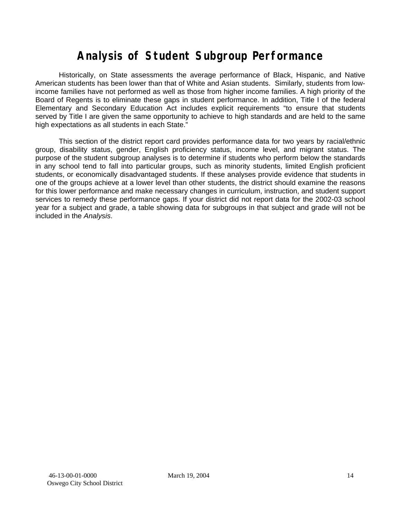# **Analysis of Student Subgroup Performance**

Historically, on State assessments the average performance of Black, Hispanic, and Native American students has been lower than that of White and Asian students. Similarly, students from lowincome families have not performed as well as those from higher income families. A high priority of the Board of Regents is to eliminate these gaps in student performance. In addition, Title I of the federal Elementary and Secondary Education Act includes explicit requirements "to ensure that students served by Title I are given the same opportunity to achieve to high standards and are held to the same high expectations as all students in each State."

This section of the district report card provides performance data for two years by racial/ethnic group, disability status, gender, English proficiency status, income level, and migrant status. The purpose of the student subgroup analyses is to determine if students who perform below the standards in any school tend to fall into particular groups, such as minority students, limited English proficient students, or economically disadvantaged students. If these analyses provide evidence that students in one of the groups achieve at a lower level than other students, the district should examine the reasons for this lower performance and make necessary changes in curriculum, instruction, and student support services to remedy these performance gaps. If your district did not report data for the 2002-03 school year for a subject and grade, a table showing data for subgroups in that subject and grade will not be included in the *Analysis*.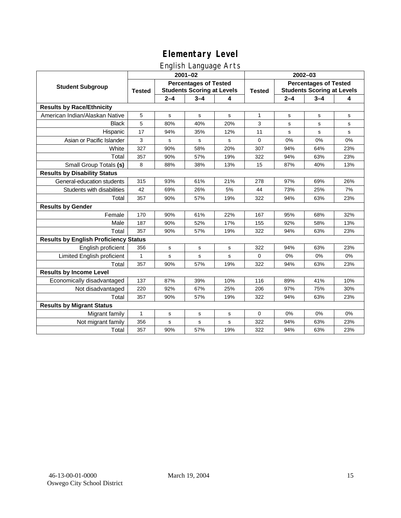# English Language Arts

|                                              |                                                                                    |             | ◡<br>$2001 - 02$ |               |                                                                   |         | $2002 - 03$ |             |
|----------------------------------------------|------------------------------------------------------------------------------------|-------------|------------------|---------------|-------------------------------------------------------------------|---------|-------------|-------------|
| <b>Student Subgroup</b>                      | <b>Percentages of Tested</b><br><b>Students Scoring at Levels</b><br><b>Tested</b> |             |                  | <b>Tested</b> | <b>Percentages of Tested</b><br><b>Students Scoring at Levels</b> |         |             |             |
|                                              |                                                                                    | $2 - 4$     | $3 - 4$          | 4             |                                                                   | $2 - 4$ | $3 - 4$     | 4           |
| <b>Results by Race/Ethnicity</b>             |                                                                                    |             |                  |               |                                                                   |         |             |             |
| American Indian/Alaskan Native               | 5                                                                                  | $\mathbf s$ | $\mathbf s$      | s             | 1                                                                 | s       | s           | $\mathbf s$ |
| <b>Black</b>                                 | 5                                                                                  | 80%         | 40%              | 20%           | 3                                                                 | s       | s           | s           |
| Hispanic                                     | 17                                                                                 | 94%         | 35%              | 12%           | 11                                                                | s       | s           | s           |
| Asian or Pacific Islander                    | 3                                                                                  | s           | ${\bf s}$        | s             | 0                                                                 | 0%      | 0%          | 0%          |
| White                                        | 327                                                                                | 90%         | 58%              | 20%           | 307                                                               | 94%     | 64%         | 23%         |
| Total                                        | 357                                                                                | 90%         | 57%              | 19%           | 322                                                               | 94%     | 63%         | 23%         |
| Small Group Totals (s)                       | 8                                                                                  | 88%         | 38%              | 13%           | 15                                                                | 87%     | 40%         | 13%         |
| <b>Results by Disability Status</b>          |                                                                                    |             |                  |               |                                                                   |         |             |             |
| General-education students                   | 315                                                                                | 93%         | 61%              | 21%           | 278                                                               | 97%     | 69%         | 26%         |
| Students with disabilities                   | 42                                                                                 | 69%         | 26%              | 5%            | 44                                                                | 73%     | 25%         | 7%          |
| Total                                        | 357                                                                                | 90%         | 57%              | 19%           | 322                                                               | 94%     | 63%         | 23%         |
| <b>Results by Gender</b>                     |                                                                                    |             |                  |               |                                                                   |         |             |             |
| Female                                       | 170                                                                                | 90%         | 61%              | 22%           | 167                                                               | 95%     | 68%         | 32%         |
| Male                                         | 187                                                                                | 90%         | 52%              | 17%           | 155                                                               | 92%     | 58%         | 13%         |
| Total                                        | 357                                                                                | 90%         | 57%              | 19%           | 322                                                               | 94%     | 63%         | 23%         |
| <b>Results by English Proficiency Status</b> |                                                                                    |             |                  |               |                                                                   |         |             |             |
| English proficient                           | 356                                                                                | $\mathbf s$ | $\mathbf s$      | s             | 322                                                               | 94%     | 63%         | 23%         |
| Limited English proficient                   | 1                                                                                  | s           | s                | s             | $\Omega$                                                          | 0%      | 0%          | 0%          |
| Total                                        | 357                                                                                | 90%         | 57%              | 19%           | 322                                                               | 94%     | 63%         | 23%         |
| <b>Results by Income Level</b>               |                                                                                    |             |                  |               |                                                                   |         |             |             |
| Economically disadvantaged                   | 137                                                                                | 87%         | 39%              | 10%           | 116                                                               | 89%     | 41%         | 10%         |
| Not disadvantaged                            | 220                                                                                | 92%         | 67%              | 25%           | 206                                                               | 97%     | 75%         | 30%         |
| Total                                        | 357                                                                                | 90%         | 57%              | 19%           | 322                                                               | 94%     | 63%         | 23%         |
| <b>Results by Migrant Status</b>             |                                                                                    |             |                  |               |                                                                   |         |             |             |
| Migrant family                               | $\mathbf{1}$                                                                       | s           | s                | s             | $\mathbf 0$                                                       | 0%      | 0%          | 0%          |
| Not migrant family                           | 356                                                                                | s           | s                | s             | 322                                                               | 94%     | 63%         | 23%         |
| Total                                        | 357                                                                                | 90%         | 57%              | 19%           | 322                                                               | 94%     | 63%         | 23%         |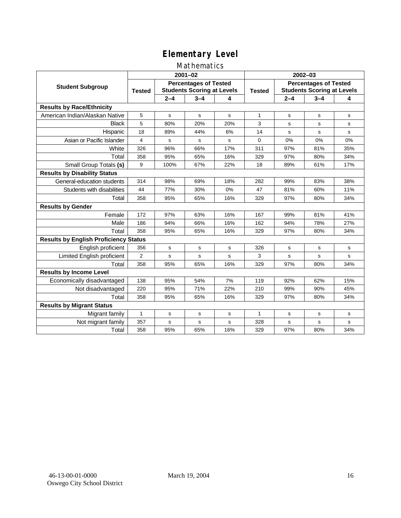### Mathematics

|                                              | $2001 - 02$                                                                        |             |             |               | $2002 - 03$                                                       |         |             |           |
|----------------------------------------------|------------------------------------------------------------------------------------|-------------|-------------|---------------|-------------------------------------------------------------------|---------|-------------|-----------|
| <b>Student Subgroup</b>                      | <b>Percentages of Tested</b><br><b>Students Scoring at Levels</b><br><b>Tested</b> |             |             | <b>Tested</b> | <b>Percentages of Tested</b><br><b>Students Scoring at Levels</b> |         |             |           |
|                                              |                                                                                    | $2 - 4$     | $3 - 4$     | 4             |                                                                   | $2 - 4$ | $3 - 4$     | 4         |
| <b>Results by Race/Ethnicity</b>             |                                                                                    |             |             |               |                                                                   |         |             |           |
| American Indian/Alaskan Native               | 5                                                                                  | s           | s           | s             | $\mathbf{1}$                                                      | s       | s           | s         |
| <b>Black</b>                                 | 5                                                                                  | 80%         | 20%         | 20%           | 3                                                                 | s       | s           | s         |
| Hispanic                                     | 18                                                                                 | 89%         | 44%         | 6%            | 14                                                                | s       | s           | s         |
| Asian or Pacific Islander                    | 4                                                                                  | s           | s           | s             | $\mathbf 0$                                                       | 0%      | 0%          | 0%        |
| White                                        | 326                                                                                | 96%         | 66%         | 17%           | 311                                                               | 97%     | 81%         | 35%       |
| Total                                        | 358                                                                                | 95%         | 65%         | 16%           | 329                                                               | 97%     | 80%         | 34%       |
| Small Group Totals (s)                       | 9                                                                                  | 100%        | 67%         | 22%           | 18                                                                | 89%     | 61%         | 17%       |
| <b>Results by Disability Status</b>          |                                                                                    |             |             |               |                                                                   |         |             |           |
| General-education students                   | 314                                                                                | 98%         | 69%         | 18%           | 282                                                               | 99%     | 83%         | 38%       |
| Students with disabilities                   | 44                                                                                 | 77%         | 30%         | 0%            | 47                                                                | 81%     | 60%         | 11%       |
| Total                                        | 358                                                                                | 95%         | 65%         | 16%           | 329                                                               | 97%     | 80%         | 34%       |
| <b>Results by Gender</b>                     |                                                                                    |             |             |               |                                                                   |         |             |           |
| Female                                       | 172                                                                                | 97%         | 63%         | 16%           | 167                                                               | 99%     | 81%         | 41%       |
| Male                                         | 186                                                                                | 94%         | 66%         | 16%           | 162                                                               | 94%     | 78%         | 27%       |
| Total                                        | 358                                                                                | 95%         | 65%         | 16%           | 329                                                               | 97%     | 80%         | 34%       |
| <b>Results by English Proficiency Status</b> |                                                                                    |             |             |               |                                                                   |         |             |           |
| English proficient                           | 356                                                                                | $\mathbf s$ | s           | s             | 326                                                               | s       | s           | s         |
| Limited English proficient                   | $\overline{2}$                                                                     | s           | s           | s             | 3                                                                 | s       | $\mathbf s$ | s         |
| Total                                        | 358                                                                                | 95%         | 65%         | 16%           | 329                                                               | 97%     | 80%         | 34%       |
| <b>Results by Income Level</b>               |                                                                                    |             |             |               |                                                                   |         |             |           |
| Economically disadvantaged                   | 138                                                                                | 95%         | 54%         | 7%            | 119                                                               | 92%     | 62%         | 15%       |
| Not disadvantaged                            | 220                                                                                | 95%         | 71%         | 22%           | 210                                                               | 99%     | 90%         | 45%       |
| Total                                        | 358                                                                                | 95%         | 65%         | 16%           | 329                                                               | 97%     | 80%         | 34%       |
| <b>Results by Migrant Status</b>             |                                                                                    |             |             |               |                                                                   |         |             |           |
| Migrant family                               | 1                                                                                  | s           | $\mathbf s$ | s             | 1                                                                 | s       | s           | ${\tt s}$ |
| Not migrant family                           | 357                                                                                | s           | s           | s             | 328                                                               | s       | s           | s         |
| Total                                        | 358                                                                                | 95%         | 65%         | 16%           | 329                                                               | 97%     | 80%         | 34%       |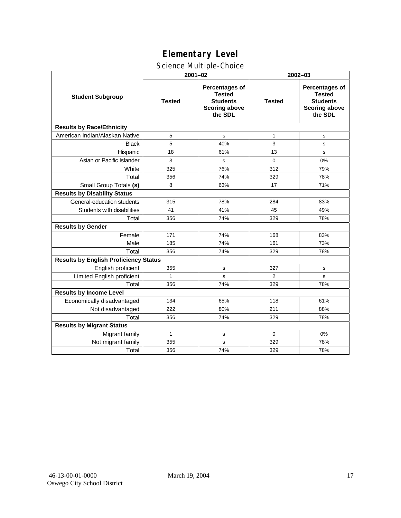# Science Multiple-Choice

|                                              |               | $2001 - 02$                                                                           | 2002-03       |                                                                                              |  |  |
|----------------------------------------------|---------------|---------------------------------------------------------------------------------------|---------------|----------------------------------------------------------------------------------------------|--|--|
| <b>Student Subgroup</b>                      | <b>Tested</b> | Percentages of<br><b>Tested</b><br><b>Students</b><br><b>Scoring above</b><br>the SDL | <b>Tested</b> | <b>Percentages of</b><br><b>Tested</b><br><b>Students</b><br><b>Scoring above</b><br>the SDL |  |  |
| <b>Results by Race/Ethnicity</b>             |               |                                                                                       |               |                                                                                              |  |  |
| American Indian/Alaskan Native               | 5             | s                                                                                     | $\mathbf{1}$  | s                                                                                            |  |  |
| <b>Black</b>                                 | 5             | 40%                                                                                   | 3             | s                                                                                            |  |  |
| Hispanic                                     | 18            | 61%                                                                                   | 13            | s                                                                                            |  |  |
| Asian or Pacific Islander                    | 3             | s                                                                                     | $\Omega$      | 0%                                                                                           |  |  |
| White                                        | 325           | 76%                                                                                   | 312           | 79%                                                                                          |  |  |
| Total                                        | 356           | 74%                                                                                   | 329           | 78%                                                                                          |  |  |
| Small Group Totals (s)                       | 8             | 63%                                                                                   | 17            | 71%                                                                                          |  |  |
| <b>Results by Disability Status</b>          |               |                                                                                       |               |                                                                                              |  |  |
| General-education students                   | 315           | 78%                                                                                   | 284           | 83%                                                                                          |  |  |
| Students with disabilities                   | 41            | 41%                                                                                   | 45            | 49%                                                                                          |  |  |
| Total                                        | 356           | 74%                                                                                   | 329           | 78%                                                                                          |  |  |
| <b>Results by Gender</b>                     |               |                                                                                       |               |                                                                                              |  |  |
| Female                                       | 171           | 74%                                                                                   | 168           | 83%                                                                                          |  |  |
| Male                                         | 185           | 74%                                                                                   | 161           | 73%                                                                                          |  |  |
| Total                                        | 356           | 74%                                                                                   | 329           | 78%                                                                                          |  |  |
| <b>Results by English Proficiency Status</b> |               |                                                                                       |               |                                                                                              |  |  |
| English proficient                           | 355           | s                                                                                     | 327           | s                                                                                            |  |  |
| Limited English proficient                   | $\mathbf{1}$  | s                                                                                     | 2             | s                                                                                            |  |  |
| Total                                        | 356           | 74%                                                                                   | 329           | 78%                                                                                          |  |  |
| <b>Results by Income Level</b>               |               |                                                                                       |               |                                                                                              |  |  |
| Economically disadvantaged                   | 134           | 65%                                                                                   | 118           | 61%                                                                                          |  |  |
| Not disadvantaged                            | 222           | 80%                                                                                   | 211           | 88%                                                                                          |  |  |
| Total                                        | 356           | 74%                                                                                   | 329           | 78%                                                                                          |  |  |
| <b>Results by Migrant Status</b>             |               |                                                                                       |               |                                                                                              |  |  |
| Migrant family                               | 1             | s                                                                                     | $\Omega$      | 0%                                                                                           |  |  |
| Not migrant family                           | 355           | s                                                                                     | 329           | 78%                                                                                          |  |  |
| Total                                        | 356           | 74%                                                                                   | 329           | 78%                                                                                          |  |  |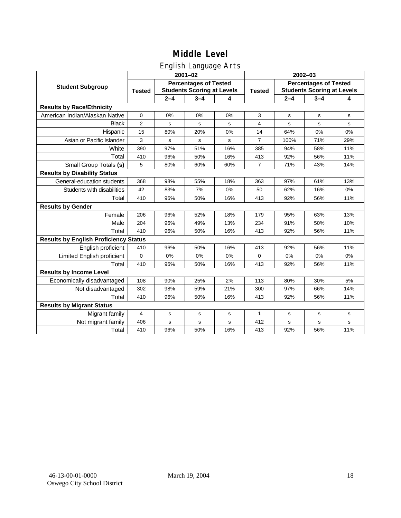## English Language Arts

|                                              | ັ<br>$2001 - 02$                                                                   |         |             |               | 2002-03                                                           |         |             |       |
|----------------------------------------------|------------------------------------------------------------------------------------|---------|-------------|---------------|-------------------------------------------------------------------|---------|-------------|-------|
| <b>Student Subgroup</b>                      | <b>Percentages of Tested</b><br><b>Students Scoring at Levels</b><br><b>Tested</b> |         |             | <b>Tested</b> | <b>Percentages of Tested</b><br><b>Students Scoring at Levels</b> |         |             |       |
|                                              |                                                                                    | $2 - 4$ | $3 - 4$     | 4             |                                                                   | $2 - 4$ | $3 - 4$     | 4     |
| <b>Results by Race/Ethnicity</b>             |                                                                                    |         |             |               |                                                                   |         |             |       |
| American Indian/Alaskan Native               | $\mathbf 0$                                                                        | 0%      | 0%          | 0%            | 3                                                                 | s       | s           | s     |
| <b>Black</b>                                 | 2                                                                                  | s       | $\mathbf s$ | s             | $\overline{4}$                                                    | s       | s           | s     |
| Hispanic                                     | 15                                                                                 | 80%     | 20%         | 0%            | 14                                                                | 64%     | 0%          | 0%    |
| Asian or Pacific Islander                    | 3                                                                                  | s       | s           | s             | $\overline{7}$                                                    | 100%    | 71%         | 29%   |
| White                                        | 390                                                                                | 97%     | 51%         | 16%           | 385                                                               | 94%     | 58%         | 11%   |
| Total                                        | 410                                                                                | 96%     | 50%         | 16%           | 413                                                               | 92%     | 56%         | 11%   |
| Small Group Totals (s)                       | 5                                                                                  | 80%     | 60%         | 60%           | $\overline{7}$                                                    | 71%     | 43%         | 14%   |
| <b>Results by Disability Status</b>          |                                                                                    |         |             |               |                                                                   |         |             |       |
| General-education students                   | 368                                                                                | 98%     | 55%         | 18%           | 363                                                               | 97%     | 61%         | 13%   |
| Students with disabilities                   | 42                                                                                 | 83%     | 7%          | 0%            | 50                                                                | 62%     | 16%         | $0\%$ |
| Total                                        | 410                                                                                | 96%     | 50%         | 16%           | 413                                                               | 92%     | 56%         | 11%   |
| <b>Results by Gender</b>                     |                                                                                    |         |             |               |                                                                   |         |             |       |
| Female                                       | 206                                                                                | 96%     | 52%         | 18%           | 179                                                               | 95%     | 63%         | 13%   |
| Male                                         | 204                                                                                | 96%     | 49%         | 13%           | 234                                                               | 91%     | 50%         | 10%   |
| Total                                        | 410                                                                                | 96%     | 50%         | 16%           | 413                                                               | 92%     | 56%         | 11%   |
| <b>Results by English Proficiency Status</b> |                                                                                    |         |             |               |                                                                   |         |             |       |
| English proficient                           | 410                                                                                | 96%     | 50%         | 16%           | 413                                                               | 92%     | 56%         | 11%   |
| Limited English proficient                   | $\mathbf 0$                                                                        | 0%      | 0%          | 0%            | 0                                                                 | 0%      | 0%          | 0%    |
| Total                                        | 410                                                                                | 96%     | 50%         | 16%           | 413                                                               | 92%     | 56%         | 11%   |
| <b>Results by Income Level</b>               |                                                                                    |         |             |               |                                                                   |         |             |       |
| Economically disadvantaged                   | 108                                                                                | 90%     | 25%         | 2%            | 113                                                               | 80%     | 30%         | 5%    |
| Not disadvantaged                            | 302                                                                                | 98%     | 59%         | 21%           | 300                                                               | 97%     | 66%         | 14%   |
| Total                                        | 410                                                                                | 96%     | 50%         | 16%           | 413                                                               | 92%     | 56%         | 11%   |
| <b>Results by Migrant Status</b>             |                                                                                    |         |             |               |                                                                   |         |             |       |
| Migrant family                               | 4                                                                                  | s       | $\mathbf S$ | s             | 1                                                                 | s       | $\mathbf S$ | s     |
| Not migrant family                           | 406                                                                                | s       | s           | s             | 412                                                               | s       | s           | s     |
| Total                                        | 410                                                                                | 96%     | 50%         | 16%           | 413                                                               | 92%     | 56%         | 11%   |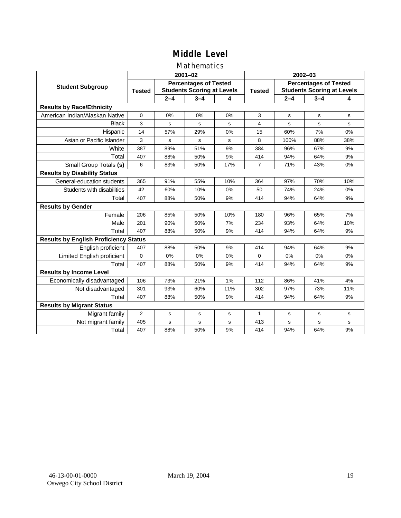### Mathematics

|                                              | $2001 - 02$   |                                                                   |             |     | $2002 - 03$    |                                                                   |         |             |
|----------------------------------------------|---------------|-------------------------------------------------------------------|-------------|-----|----------------|-------------------------------------------------------------------|---------|-------------|
| <b>Student Subgroup</b>                      | <b>Tested</b> | <b>Percentages of Tested</b><br><b>Students Scoring at Levels</b> |             |     | <b>Tested</b>  | <b>Percentages of Tested</b><br><b>Students Scoring at Levels</b> |         |             |
|                                              |               | $2 - 4$                                                           | $3 - 4$     | 4   |                | $2 - 4$                                                           | $3 - 4$ | 4           |
| <b>Results by Race/Ethnicity</b>             |               |                                                                   |             |     |                |                                                                   |         |             |
| American Indian/Alaskan Native               | $\mathbf 0$   | 0%                                                                | 0%          | 0%  | 3              | s                                                                 | s       | s           |
| <b>Black</b>                                 | 3             | s                                                                 | s           | s   | 4              | s                                                                 | s       | s           |
| Hispanic                                     | 14            | 57%                                                               | 29%         | 0%  | 15             | 60%                                                               | 7%      | 0%          |
| Asian or Pacific Islander                    | 3             | s                                                                 | s           | s   | 8              | 100%                                                              | 88%     | 38%         |
| White                                        | 387           | 89%                                                               | 51%         | 9%  | 384            | 96%                                                               | 67%     | 9%          |
| Total                                        | 407           | 88%                                                               | 50%         | 9%  | 414            | 94%                                                               | 64%     | 9%          |
| Small Group Totals (s)                       | 6             | 83%                                                               | 50%         | 17% | $\overline{7}$ | 71%                                                               | 43%     | 0%          |
| <b>Results by Disability Status</b>          |               |                                                                   |             |     |                |                                                                   |         |             |
| General-education students                   | 365           | 91%                                                               | 55%         | 10% | 364            | 97%                                                               | 70%     | 10%         |
| Students with disabilities                   | 42            | 60%                                                               | 10%         | 0%  | 50             | 74%                                                               | 24%     | 0%          |
| Total                                        | 407           | 88%                                                               | 50%         | 9%  | 414            | 94%                                                               | 64%     | 9%          |
| <b>Results by Gender</b>                     |               |                                                                   |             |     |                |                                                                   |         |             |
| Female                                       | 206           | 85%                                                               | 50%         | 10% | 180            | 96%                                                               | 65%     | 7%          |
| Male                                         | 201           | 90%                                                               | 50%         | 7%  | 234            | 93%                                                               | 64%     | 10%         |
| Total                                        | 407           | 88%                                                               | 50%         | 9%  | 414            | 94%                                                               | 64%     | 9%          |
| <b>Results by English Proficiency Status</b> |               |                                                                   |             |     |                |                                                                   |         |             |
| English proficient                           | 407           | 88%                                                               | 50%         | 9%  | 414            | 94%                                                               | 64%     | 9%          |
| Limited English proficient                   | 0             | 0%                                                                | 0%          | 0%  | $\Omega$       | 0%                                                                | 0%      | 0%          |
| Total                                        | 407           | 88%                                                               | 50%         | 9%  | 414            | 94%                                                               | 64%     | 9%          |
| <b>Results by Income Level</b>               |               |                                                                   |             |     |                |                                                                   |         |             |
| Economically disadvantaged                   | 106           | 73%                                                               | 21%         | 1%  | 112            | 86%                                                               | 41%     | 4%          |
| Not disadvantaged                            | 301           | 93%                                                               | 60%         | 11% | 302            | 97%                                                               | 73%     | 11%         |
| Total                                        | 407           | 88%                                                               | 50%         | 9%  | 414            | 94%                                                               | 64%     | 9%          |
| <b>Results by Migrant Status</b>             |               |                                                                   |             |     |                |                                                                   |         |             |
| Migrant family                               | 2             | s                                                                 | $\mathbf s$ | s   | 1              | s                                                                 | s       | $\mathbf s$ |
| Not migrant family                           | 405           | s                                                                 | s           | S   | 413            | s                                                                 | s       | s           |
| Total                                        | 407           | 88%                                                               | 50%         | 9%  | 414            | 94%                                                               | 64%     | 9%          |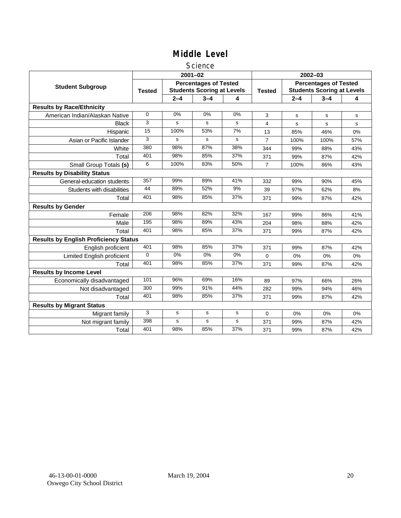#### **Science**

|                                              |               |             | $2001 - 02$                                                       |       | $2002 - 03$   |                                                                   |         |     |  |
|----------------------------------------------|---------------|-------------|-------------------------------------------------------------------|-------|---------------|-------------------------------------------------------------------|---------|-----|--|
| <b>Student Subgroup</b>                      | <b>Tested</b> |             | <b>Percentages of Tested</b><br><b>Students Scoring at Levels</b> |       | <b>Tested</b> | <b>Percentages of Tested</b><br><b>Students Scoring at Levels</b> |         |     |  |
|                                              |               | $2 - 4$     | $3 - 4$                                                           | 4     |               | $2 - 4$                                                           | $3 - 4$ | 4   |  |
| <b>Results by Race/Ethnicity</b>             |               |             |                                                                   |       |               |                                                                   |         |     |  |
| American Indian/Alaskan Native               | 0             | 0%          | 0%                                                                | 0%    | 3             | s                                                                 | s       | s   |  |
| <b>Black</b>                                 | 3             | s           | s                                                                 | s     | 4             | s                                                                 | s       | s   |  |
| Hispanic                                     | 15            | 100%        | 53%                                                               | 7%    | 13            | 85%                                                               | 46%     | 0%  |  |
| Asian or Pacific Islander                    | 3             | s           | s                                                                 | s     | 7             | 100%                                                              | 100%    | 57% |  |
| White                                        | 380           | 98%         | 87%                                                               | 38%   | 344           | 99%                                                               | 88%     | 43% |  |
| Total                                        | 401           | 98%         | 85%                                                               | 37%   | 371           | 99%                                                               | 87%     | 42% |  |
| Small Group Totals (s)                       | 6             | 100%        | 83%                                                               | 50%   | 7             | 100%                                                              | 86%     | 43% |  |
| <b>Results by Disability Status</b>          |               |             |                                                                   |       |               |                                                                   |         |     |  |
| General-education students                   | 357           | 99%         | 89%                                                               | 41%   | 332           | 99%                                                               | 90%     | 45% |  |
| Students with disabilities                   | 44            | 89%         | 52%                                                               | 9%    | 39            | 97%                                                               | 62%     | 8%  |  |
| Total                                        | 401           | 98%         | 85%                                                               | 37%   | 371           | 99%                                                               | 87%     | 42% |  |
| <b>Results by Gender</b>                     |               |             |                                                                   |       |               |                                                                   |         |     |  |
| Female                                       | 206           | 98%         | 82%                                                               | 32%   | 167           | 99%                                                               | 86%     | 41% |  |
| Male                                         | 195           | 98%         | 89%                                                               | 43%   | 204           | 98%                                                               | 88%     | 42% |  |
| Total                                        | 401           | 98%         | 85%                                                               | 37%   | 371           | 99%                                                               | 87%     | 42% |  |
| <b>Results by English Proficiency Status</b> |               |             |                                                                   |       |               |                                                                   |         |     |  |
| English proficient                           | 401           | 98%         | 85%                                                               | 37%   | 371           | 99%                                                               | 87%     | 42% |  |
| Limited English proficient                   | $\Omega$      | 0%          | $0\%$                                                             | $0\%$ | 0             | 0%                                                                | 0%      | 0%  |  |
| Total                                        | 401           | 98%         | 85%                                                               | 37%   | 371           | 99%                                                               | 87%     | 42% |  |
| <b>Results by Income Level</b>               |               |             |                                                                   |       |               |                                                                   |         |     |  |
| Economically disadvantaged                   | 101           | 96%         | 69%                                                               | 16%   | 89            | 97%                                                               | 66%     | 26% |  |
| Not disadvantaged                            | 300           | 99%         | 91%                                                               | 44%   | 282           | 99%                                                               | 94%     | 46% |  |
| Total                                        | 401           | 98%         | 85%                                                               | 37%   | 371           | 99%                                                               | 87%     | 42% |  |
| <b>Results by Migrant Status</b>             |               |             |                                                                   |       |               |                                                                   |         |     |  |
| Migrant family                               | 3             | s           | s                                                                 | s     | 0             | $0\%$                                                             | 0%      | 0%  |  |
| Not migrant family                           | 398           | $\mathbf s$ | s                                                                 | s     | 371           | 99%                                                               | 87%     | 42% |  |
| Total                                        | 401           | 98%         | 85%                                                               | 37%   | 371           | 99%                                                               | 87%     | 42% |  |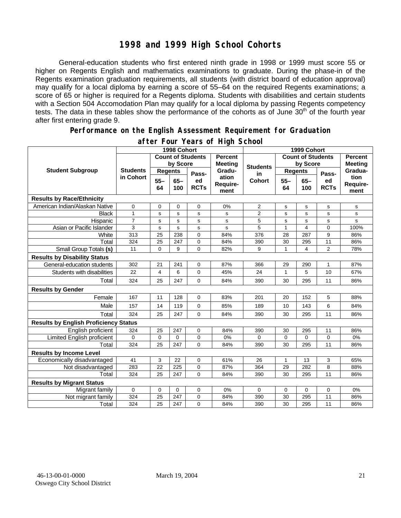## **1998 and 1999 High School Cohorts**

General-education students who first entered ninth grade in 1998 or 1999 must score 55 or higher on Regents English and mathematics examinations to graduate. During the phase-in of the Regents examination graduation requirements, all students (with district board of education approval) may qualify for a local diploma by earning a score of 55–64 on the required Regents examinations; a score of 65 or higher is required for a Regents diploma. Students with disabilities and certain students with a Section 504 Accomodation Plan may qualify for a local diploma by passing Regents competency tests. The data in these tables show the performance of the cohorts as of June 30<sup>th</sup> of the fourth year after first entering grade 9.

#### **Performance on the English Assessment Requirement for Graduation**

|                                              | 1998 Cohort                  |                          |               |                           |                           | 1999 Cohort              |                 |                                  |                   |                          |
|----------------------------------------------|------------------------------|--------------------------|---------------|---------------------------|---------------------------|--------------------------|-----------------|----------------------------------|-------------------|--------------------------|
|                                              |                              | <b>Count of Students</b> |               | <b>Percent</b><br>Meeting |                           | <b>Count of Students</b> |                 | <b>Percent</b><br><b>Meeting</b> |                   |                          |
| <b>Student Subgroup</b>                      | <b>Students</b><br>in Cohort | by Score                 |               |                           | <b>Students</b>           | by Score                 |                 |                                  |                   |                          |
|                                              |                              | <b>Regents</b>           |               | Pass-                     | Gradu-                    | in                       | <b>Regents</b>  |                                  | Pass-             | Gradua-                  |
|                                              |                              | $55 -$<br>64             | $65 -$<br>100 | ed<br><b>RCTs</b>         | ation<br>Require-<br>ment | <b>Cohort</b>            | $55 -$<br>64    | $65 -$<br>100                    | ed<br><b>RCTs</b> | tion<br>Require-<br>ment |
| <b>Results by Race/Ethnicity</b>             |                              |                          |               |                           |                           |                          |                 |                                  |                   |                          |
| American Indian/Alaskan Native               | $\mathbf 0$                  | 0                        | 0             | $\mathbf 0$               | 0%                        | $\overline{2}$           | $\mathbf s$     | s                                | s                 | s                        |
| <b>Black</b>                                 | $\mathbf{1}$                 | s                        | s             | s                         | s                         | 2                        | s               | s                                | s                 | s                        |
| Hispanic                                     | $\overline{7}$               | s                        | s             | s                         | s                         | 5                        | $\mathbf s$     | s                                | s                 | s                        |
| Asian or Pacific Islander                    | 3                            | s                        | s             | s                         | s                         | 5                        | $\overline{1}$  | 4                                | $\Omega$          | 100%                     |
| White                                        | 313                          | $\overline{25}$          | 238           | 0                         | 84%                       | 376                      | $\overline{28}$ | 287                              | 9                 | 86%                      |
| Total                                        | 324                          | 25                       | 247           | $\mathbf 0$               | 84%                       | 390                      | 30              | 295                              | 11                | 86%                      |
| Small Group Totals (s)                       | 11                           | 0                        | 9             | $\Omega$                  | 82%                       | 9                        | 1               | 4                                | $\overline{2}$    | 78%                      |
| <b>Results by Disability Status</b>          |                              |                          |               |                           |                           |                          |                 |                                  |                   |                          |
| General-education students                   | 302                          | 21                       | 241           | 0                         | 87%                       | 366                      | 29              | 290                              | 1                 | 87%                      |
| Students with disabilities                   | 22                           | 4                        | 6             | 0                         | 45%                       | 24                       | $\mathbf{1}$    | 5                                | 10                | 67%                      |
| Total                                        | 324                          | 25                       | 247           | $\mathbf 0$               | 84%                       | 390                      | 30              | 295                              | 11                | 86%                      |
| <b>Results by Gender</b>                     |                              |                          |               |                           |                           |                          |                 |                                  |                   |                          |
| Female                                       | 167                          | 11                       | 128           | $\Omega$                  | 83%                       | 201                      | 20              | 152                              | 5                 | 88%                      |
| Male                                         | 157                          | 14                       | 119           | 0                         | 85%                       | 189                      | 10              | 143                              | 6                 | 84%                      |
| Total                                        | 324                          | 25                       | 247           | $\mathbf 0$               | 84%                       | 390                      | 30              | 295                              | 11                | 86%                      |
| <b>Results by English Proficiency Status</b> |                              |                          |               |                           |                           |                          |                 |                                  |                   |                          |
| English proficient                           | 324                          | 25                       | 247           | $\mathbf 0$               | 84%                       | 390                      | 30              | 295                              | 11                | 86%                      |
| Limited English proficient                   | 0                            | 0                        | 0             | 0                         | 0%                        | 0                        | $\mathbf 0$     | 0                                | 0                 | 0%                       |
| Total                                        | 324                          | 25                       | 247           | $\Omega$                  | 84%                       | 390                      | 30              | 295                              | 11                | 86%                      |
| <b>Results by Income Level</b>               |                              |                          |               |                           |                           |                          |                 |                                  |                   |                          |
| Economically disadvantaged                   | 41                           | 3                        | 22            | $\mathbf 0$               | 61%                       | 26                       | $\mathbf{1}$    | 13                               | 3                 | 65%                      |
| Not disadvantaged                            | 283                          | 22                       | 225           | $\mathbf 0$               | 87%                       | 364                      | 29              | 282                              | 8                 | 88%                      |
| Total                                        | 324                          | 25                       | 247           | $\Omega$                  | 84%                       | 390                      | 30              | 295                              | 11                | 86%                      |
| <b>Results by Migrant Status</b>             |                              |                          |               |                           |                           |                          |                 |                                  |                   |                          |
| Migrant family                               | 0                            | 0                        | 0             | $\mathbf 0$               | 0%                        | 0                        | 0               | 0                                | $\mathbf 0$       | 0%                       |
| Not migrant family                           | 324                          | 25                       | 247           | $\mathbf 0$               | 84%                       | 390                      | 30              | 295                              | 11                | 86%                      |
| Total                                        | 324                          | 25                       | 247           | $\mathbf 0$               | 84%                       | 390                      | 30              | 295                              | 11                | 86%                      |

### **after Four Years of High School**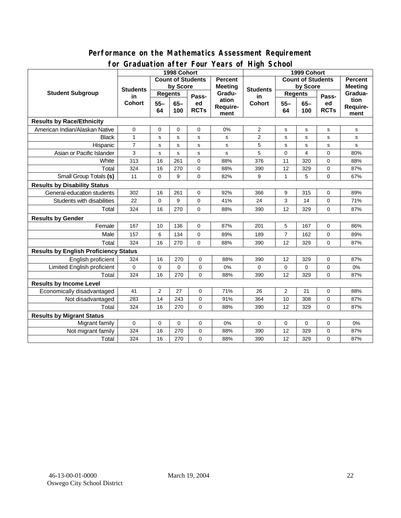#### **Performance on the Mathematics Assessment Requirement for Graduation after Four Years of High School**

|                                              | oraaachon artor roor<br>1998 Cohort |                                            | <b>Tears of Fight Scribble</b><br>1999 Cohort |                   |                           |                 |                          |                |                   |                          |
|----------------------------------------------|-------------------------------------|--------------------------------------------|-----------------------------------------------|-------------------|---------------------------|-----------------|--------------------------|----------------|-------------------|--------------------------|
|                                              |                                     | <b>Count of Students</b><br><b>Percent</b> |                                               |                   |                           |                 | <b>Count of Students</b> |                |                   | <b>Percent</b>           |
| <b>Student Subgroup</b>                      | <b>Students</b>                     | by Score                                   |                                               |                   | <b>Meeting</b>            | <b>Students</b> | by Score                 |                | <b>Meeting</b>    |                          |
|                                              | in<br><b>Cohort</b>                 | <b>Regents</b>                             |                                               | Pass-             | Gradu-                    | in              | <b>Regents</b>           |                | Pass-             | Gradua-                  |
|                                              |                                     | $55 -$<br>64                               | $65 -$<br>100                                 | ed<br><b>RCTs</b> | ation<br>Require-<br>ment | <b>Cohort</b>   | $55 -$<br>64             | $65 -$<br>100  | ed<br><b>RCTs</b> | tion<br>Require-<br>ment |
| <b>Results by Race/Ethnicity</b>             |                                     |                                            |                                               |                   |                           |                 |                          |                |                   |                          |
| American Indian/Alaskan Native               | 0                                   | $\mathbf 0$                                | $\mathbf 0$                                   | 0                 | 0%                        | $\overline{2}$  | s                        | s              | $\mathsf{s}$      | $\mathbf s$              |
| <b>Black</b>                                 | $\mathbf{1}$                        | s                                          | s                                             | s                 | s                         | $\overline{2}$  | s                        | $\mathbf s$    | s                 | ${\tt s}$                |
| Hispanic                                     | $\overline{7}$                      | s                                          | $\mathbf s$                                   | s                 | s                         | 5               | $\mathbf s$              | $\mathbf s$    | s                 | s                        |
| Asian or Pacific Islander                    | 3                                   | s                                          | s                                             | s                 | s                         | 5               | 0                        | $\overline{4}$ | 0                 | 80%                      |
| White                                        | 313                                 | 16                                         | 261                                           | 0                 | 88%                       | 376             | 11                       | 320            | 0                 | 88%                      |
| Total                                        | 324                                 | 16                                         | 270                                           | 0                 | 88%                       | 390             | 12                       | 329            | 0                 | 87%                      |
| Small Group Totals (s)                       | 11                                  | $\mathbf 0$                                | 9                                             | 0                 | 82%                       | 9               | 1                        | 5              | 0                 | 67%                      |
| <b>Results by Disability Status</b>          |                                     |                                            |                                               |                   |                           |                 |                          |                |                   |                          |
| General-education students                   | 302                                 | 16                                         | 261                                           | $\mathbf 0$       | 92%                       | 366             | 9                        | 315            | $\mathbf 0$       | 89%                      |
| Students with disabilities                   | 22                                  | $\mathbf 0$                                | 9                                             | 0                 | 41%                       | 24              | 3                        | 14             | $\mathbf 0$       | 71%                      |
| Total                                        | 324                                 | 16                                         | 270                                           | $\Omega$          | 88%                       | 390             | 12                       | 329            | $\Omega$          | 87%                      |
| <b>Results by Gender</b>                     |                                     |                                            |                                               |                   |                           |                 |                          |                |                   |                          |
| Female                                       | 167                                 | 10                                         | 136                                           | 0                 | 87%                       | 201             | 5                        | 167            | 0                 | 86%                      |
| Male                                         | 157                                 | 6                                          | 134                                           | $\mathbf 0$       | 89%                       | 189             | $\overline{7}$           | 162            | $\mathbf 0$       | 89%                      |
| Total                                        | 324                                 | 16                                         | 270                                           | 0                 | 88%                       | 390             | 12                       | 329            | $\mathbf 0$       | 87%                      |
| <b>Results by English Proficiency Status</b> |                                     |                                            |                                               |                   |                           |                 |                          |                |                   |                          |
| English proficient                           | 324                                 | 16                                         | 270                                           | 0                 | 88%                       | 390             | 12                       | 329            | 0                 | 87%                      |
| Limited English proficient                   | 0                                   | $\mathbf 0$                                | $\mathbf 0$                                   | 0                 | 0%                        | 0               | $\pmb{0}$                | 0              | 0                 | 0%                       |
| Total                                        | 324                                 | 16                                         | 270                                           | 0                 | 88%                       | 390             | 12                       | 329            | $\mathbf 0$       | 87%                      |
| <b>Results by Income Level</b>               |                                     |                                            |                                               |                   |                           |                 |                          |                |                   |                          |
| Economically disadvantaged                   | 41                                  | $\overline{2}$                             | 27                                            | 0                 | 71%                       | 26              | $\mathbf{2}$             | 21             | $\mathbf 0$       | 88%                      |
| Not disadvantaged                            | 283                                 | 14                                         | 243                                           | 0                 | 91%                       | 364             | 10                       | 308            | 0                 | 87%                      |
| Total                                        | 324                                 | 16                                         | 270                                           | 0                 | 88%                       | 390             | 12                       | 329            | $\mathbf 0$       | 87%                      |
| <b>Results by Migrant Status</b>             |                                     |                                            |                                               |                   |                           |                 |                          |                |                   |                          |
| Migrant family                               | $\mathbf 0$                         | $\mathbf 0$                                | $\mathbf 0$                                   | $\mathbf 0$       | 0%                        | $\mathbf 0$     | 0                        | $\mathbf 0$    | 0                 | 0%                       |
| Not migrant family                           | 324                                 | 16                                         | 270                                           | 0                 | 88%                       | 390             | 12                       | 329            | 0                 | 87%                      |
| Total                                        | 324                                 | 16                                         | 270                                           | 0                 | 88%                       | 390             | 12                       | 329            | $\mathbf 0$       | 87%                      |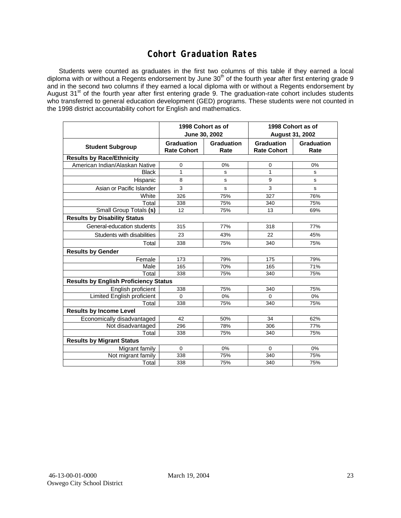## **Cohort Graduation Rates**

Students were counted as graduates in the first two columns of this table if they earned a local diploma with or without a Regents endorsement by June 30<sup>th</sup> of the fourth year after first entering grade 9 and in the second two columns if they earned a local diploma with or without a Regents endorsement by August 31<sup>st</sup> of the fourth year after first entering grade 9. The graduation-rate cohort includes students who transferred to general education development (GED) programs. These students were not counted in the 1998 district accountability cohort for English and mathematics.

|                                              |                                         | 1998 Cohort as of<br>June 30, 2002 | 1998 Cohort as of<br><b>August 31, 2002</b> |                    |  |  |  |  |
|----------------------------------------------|-----------------------------------------|------------------------------------|---------------------------------------------|--------------------|--|--|--|--|
| <b>Student Subgroup</b>                      | <b>Graduation</b><br><b>Rate Cohort</b> | Graduation<br>Rate                 | <b>Graduation</b><br><b>Rate Cohort</b>     | Graduation<br>Rate |  |  |  |  |
| <b>Results by Race/Ethnicity</b>             |                                         |                                    |                                             |                    |  |  |  |  |
| American Indian/Alaskan Native               | 0                                       | 0%                                 | 0                                           | 0%                 |  |  |  |  |
| <b>Black</b>                                 | $\mathbf{1}$                            | s                                  | 1                                           | s                  |  |  |  |  |
| Hispanic                                     | 8                                       | s                                  | 9                                           | s                  |  |  |  |  |
| Asian or Pacific Islander                    | 3                                       | s                                  | 3                                           | s                  |  |  |  |  |
| White                                        | 326                                     | 75%                                | 327                                         | 76%                |  |  |  |  |
| Total                                        | 338                                     | 75%                                | 340                                         | 75%                |  |  |  |  |
| Small Group Totals (s)                       | 12                                      | 75%                                | 13                                          | 69%                |  |  |  |  |
| <b>Results by Disability Status</b>          |                                         |                                    |                                             |                    |  |  |  |  |
| General-education students                   | 315                                     | 77%                                | 318                                         | 77%                |  |  |  |  |
| Students with disabilities                   | 23                                      | 43%                                | 22                                          | 45%                |  |  |  |  |
| Total                                        | 338                                     | 75%                                | 340                                         | 75%                |  |  |  |  |
| <b>Results by Gender</b>                     |                                         |                                    |                                             |                    |  |  |  |  |
| Female                                       | 173                                     | 79%                                | 175                                         | 79%                |  |  |  |  |
| Male                                         | 165                                     | 70%                                | 165                                         | 71%                |  |  |  |  |
| Total                                        | 338                                     | 75%                                | 340                                         | 75%                |  |  |  |  |
| <b>Results by English Proficiency Status</b> |                                         |                                    |                                             |                    |  |  |  |  |
| English proficient                           | 338                                     | 75%                                | 340                                         | 75%                |  |  |  |  |
| Limited English proficient                   | $\mathbf 0$                             | 0%                                 | $\Omega$                                    | 0%                 |  |  |  |  |
| Total                                        | 338                                     | 75%                                | 340                                         | 75%                |  |  |  |  |
| <b>Results by Income Level</b>               |                                         |                                    |                                             |                    |  |  |  |  |
| Economically disadvantaged                   | 42                                      | 50%                                | 34                                          | 62%                |  |  |  |  |
| Not disadvantaged                            | 296                                     | 78%                                | 306                                         | 77%                |  |  |  |  |
| Total                                        | 338                                     | 75%                                | 340                                         | 75%                |  |  |  |  |
| <b>Results by Migrant Status</b>             |                                         |                                    |                                             |                    |  |  |  |  |
| Migrant family                               | $\Omega$                                | 0%                                 | $\Omega$                                    | 0%                 |  |  |  |  |
| Not migrant family                           | 338                                     | 75%                                | 340                                         | 75%                |  |  |  |  |
| Total                                        | 338                                     | 75%                                | 340                                         | 75%                |  |  |  |  |